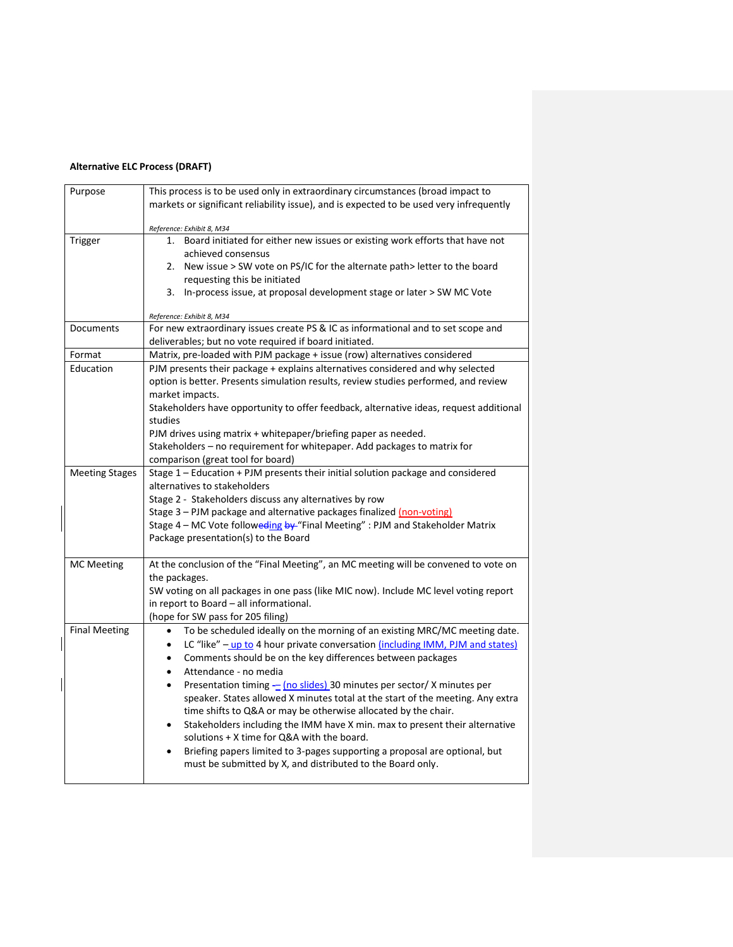## **Alternative ELC Process (DRAFT)**

| Purpose               | This process is to be used only in extraordinary circumstances (broad impact to                                  |
|-----------------------|------------------------------------------------------------------------------------------------------------------|
|                       | markets or significant reliability issue), and is expected to be used very infrequently                          |
|                       | Reference: Exhibit 8, M34                                                                                        |
| Trigger               | Board initiated for either new issues or existing work efforts that have not<br>1.                               |
|                       | achieved consensus                                                                                               |
|                       | 2. New issue > SW vote on PS/IC for the alternate path > letter to the board                                     |
|                       | requesting this be initiated<br>In-process issue, at proposal development stage or later > SW MC Vote<br>3.      |
|                       |                                                                                                                  |
|                       | Reference: Exhibit 8, M34                                                                                        |
| Documents             | For new extraordinary issues create PS & IC as informational and to set scope and                                |
|                       | deliverables; but no vote required if board initiated.                                                           |
| Format                | Matrix, pre-loaded with PJM package + issue (row) alternatives considered                                        |
| Education             | PJM presents their package + explains alternatives considered and why selected                                   |
|                       | option is better. Presents simulation results, review studies performed, and review                              |
|                       | market impacts.                                                                                                  |
|                       | Stakeholders have opportunity to offer feedback, alternative ideas, request additional                           |
|                       | studies                                                                                                          |
|                       | PJM drives using matrix + whitepaper/briefing paper as needed.                                                   |
|                       | Stakeholders - no requirement for whitepaper. Add packages to matrix for                                         |
|                       | comparison (great tool for board)                                                                                |
| <b>Meeting Stages</b> | Stage 1 - Education + PJM presents their initial solution package and considered<br>alternatives to stakeholders |
|                       | Stage 2 - Stakeholders discuss any alternatives by row                                                           |
|                       | Stage 3 - PJM package and alternative packages finalized (non-voting)                                            |
|                       | Stage 4 - MC Vote followeding by "Final Meeting" : PJM and Stakeholder Matrix                                    |
|                       | Package presentation(s) to the Board                                                                             |
|                       |                                                                                                                  |
| <b>MC Meeting</b>     | At the conclusion of the "Final Meeting", an MC meeting will be convened to vote on                              |
|                       | the packages.                                                                                                    |
|                       | SW voting on all packages in one pass (like MIC now). Include MC level voting report                             |
|                       | in report to Board - all informational.                                                                          |
|                       | (hope for SW pass for 205 filing)                                                                                |
| <b>Final Meeting</b>  | To be scheduled ideally on the morning of an existing MRC/MC meeting date.<br>$\bullet$                          |
|                       | LC "like" - up to 4 hour private conversation <i>(including IMM, PJM and states)</i><br>$\bullet$                |
|                       | Comments should be on the key differences between packages<br>$\bullet$                                          |
|                       | Attendance - no media<br>$\bullet$                                                                               |
|                       | Presentation timing - (no slides) 30 minutes per sector/ X minutes per<br>$\bullet$                              |
|                       | speaker. States allowed X minutes total at the start of the meeting. Any extra                                   |
|                       | time shifts to Q&A or may be otherwise allocated by the chair.                                                   |
|                       | Stakeholders including the IMM have X min. max to present their alternative<br>$\bullet$                         |
|                       | solutions + X time for Q&A with the board.                                                                       |
|                       | Briefing papers limited to 3-pages supporting a proposal are optional, but<br>$\bullet$                          |
|                       | must be submitted by X, and distributed to the Board only.                                                       |